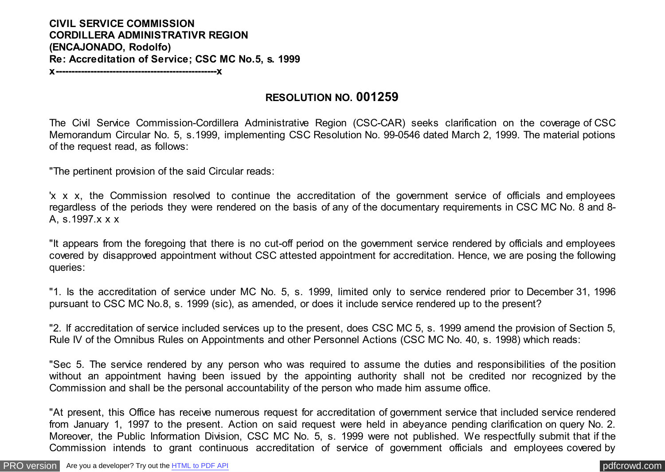## **CIVIL SERVICE COMMISSION CORDILLERA ADMINISTRATIVR REGION (ENCAJONADO, Rodolfo) Re: Accreditation of Service; CSC MC No.5, s. 1999**

**x---------------------------------------------------x**

## **RESOLUTION NO. 001259**

The Civil Service Commission-Cordillera Administrative Region (CSC-CAR) seeks clarification on the coverage of CSC Memorandum Circular No. 5, s.1999, implementing CSC Resolution No. 99-0546 dated March 2, 1999. The material potions of the request read, as follows:

"The pertinent provision of the said Circular reads:

'x x x, the Commission resolved to continue the accreditation of the government service of officials and employees regardless of the periods they were rendered on the basis of any of the documentary requirements in CSC MC No. 8 and 8- A, s.1997.x x x

"It appears from the foregoing that there is no cut-off period on the government service rendered by officials and employees covered by disapproved appointment without CSC attested appointment for accreditation. Hence, we are posing the following queries:

"1. Is the accreditation of service under MC No. 5, s. 1999, limited only to service rendered prior to December 31, 1996 pursuant to CSC MC No.8, s. 1999 (sic), as amended, or does it include service rendered up to the present?

"2. If accreditation of service included services up to the present, does CSC MC 5, s. 1999 amend the provision of Section 5, Rule IV of the Omnibus Rules on Appointments and other Personnel Actions (CSC MC No. 40, s. 1998) which reads:

"Sec 5. The service rendered by any person who was required to assume the duties and responsibilities of the position without an appointment having been issued by the appointing authority shall not be credited nor recognized by the Commission and shall be the personal accountability of the person who made him assume office.

"At present, this Office has receive numerous request for accreditation of government service that included service rendered from January 1, 1997 to the present. Action on said request were held in abeyance pending clarification on query No. 2. Moreover, the Public Information Division, CSC MC No. 5, s. 1999 were not published. We respectfully submit that if the Commission intends to grant continuous accreditation of service of government officials and employees covered by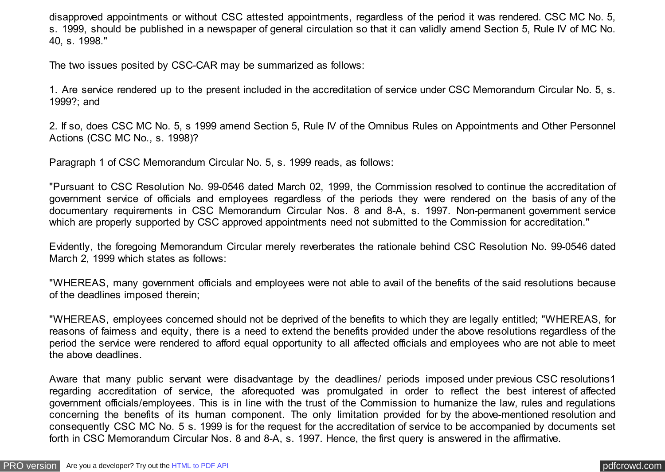disapproved appointments or without CSC attested appointments, regardless of the period it was rendered. CSC MC No. 5, s. 1999, should be published in a newspaper of general circulation so that it can validly amend Section 5, Rule IV of MC No. 40, s. 1998."

The two issues posited by CSC-CAR may be summarized as follows:

1. Are service rendered up to the present included in the accreditation of service under CSC Memorandum Circular No. 5, s. 1999?; and

2. If so, does CSC MC No. 5, s 1999 amend Section 5, Rule IV of the Omnibus Rules on Appointments and Other Personnel Actions (CSC MC No., s. 1998)?

Paragraph 1 of CSC Memorandum Circular No. 5, s. 1999 reads, as follows:

"Pursuant to CSC Resolution No. 99-0546 dated March 02, 1999, the Commission resolved to continue the accreditation of government service of officials and employees regardless of the periods they were rendered on the basis of any of the documentary requirements in CSC Memorandum Circular Nos. 8 and 8-A, s. 1997. Non-permanent government service which are properly supported by CSC approved appointments need not submitted to the Commission for accreditation."

Evidently, the foregoing Memorandum Circular merely reverberates the rationale behind CSC Resolution No. 99-0546 dated March 2, 1999 which states as follows:

"WHEREAS, many government officials and employees were not able to avail of the benefits of the said resolutions because of the deadlines imposed therein;

"WHEREAS, employees concerned should not be deprived of the benefits to which they are legally entitled; "WHEREAS, for reasons of fairness and equity, there is a need to extend the benefits provided under the above resolutions regardless of the period the service were rendered to afford equal opportunity to all affected officials and employees who are not able to meet the above deadlines.

Aware that many public servant were disadvantage by the deadlines/ periods imposed under previous CSC resolutions1 regarding accreditation of service, the aforequoted was promulgated in order to reflect the best interest of affected government officials/employees. This is in line with the trust of the Commission to humanize the law, rules and regulations concerning the benefits of its human component. The only limitation provided for by the above-mentioned resolution and consequently CSC MC No. 5 s. 1999 is for the request for the accreditation of service to be accompanied by documents set forth in CSC Memorandum Circular Nos. 8 and 8-A, s. 1997. Hence, the first query is answered in the affirmative.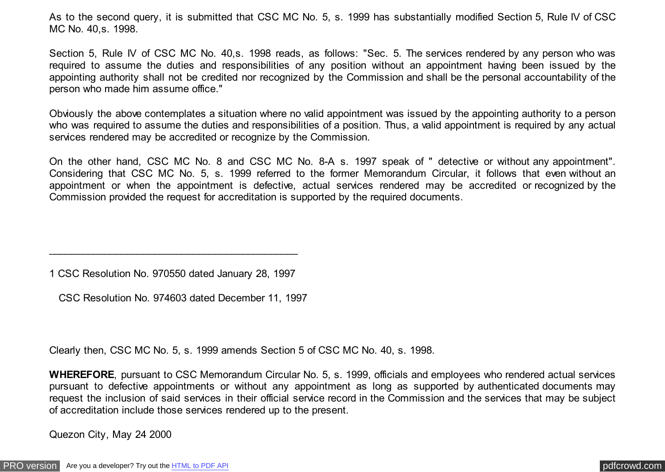As to the second query, it is submitted that CSC MC No. 5, s. 1999 has substantially modified Section 5, Rule IV of CSC MC No. 40,s. 1998.

Section 5, Rule IV of CSC MC No. 40,s. 1998 reads, as follows: "Sec. 5. The services rendered by any person who was required to assume the duties and responsibilities of any position without an appointment having been issued by the appointing authority shall not be credited nor recognized by the Commission and shall be the personal accountability of the person who made him assume office."

Obviously the above contemplates a situation where no valid appointment was issued by the appointing authority to a person who was required to assume the duties and responsibilities of a position. Thus, a valid appointment is required by any actual services rendered may be accredited or recognize by the Commission.

On the other hand, CSC MC No. 8 and CSC MC No. 8-A s. 1997 speak of " detective or without any appointment". Considering that CSC MC No. 5, s. 1999 referred to the former Memorandum Circular, it follows that even without an appointment or when the appointment is defective, actual services rendered may be accredited or recognized by the Commission provided the request for accreditation is supported by the required documents.

1 CSC Resolution No. 970550 dated January 28, 1997

\_\_\_\_\_\_\_\_\_\_\_\_\_\_\_\_\_\_\_\_\_\_\_\_\_\_\_\_\_\_\_\_\_\_\_\_\_\_\_\_\_\_\_\_\_

CSC Resolution No. 974603 dated December 11, 1997

Clearly then, CSC MC No. 5, s. 1999 amends Section 5 of CSC MC No. 40, s. 1998.

**WHEREFORE**, pursuant to CSC Memorandum Circular No. 5, s. 1999, officials and employees who rendered actual services pursuant to defective appointments or without any appointment as long as supported by authenticated documents may request the inclusion of said services in their official service record in the Commission and the services that may be subject of accreditation include those services rendered up to the present.

Quezon City, May 24 2000